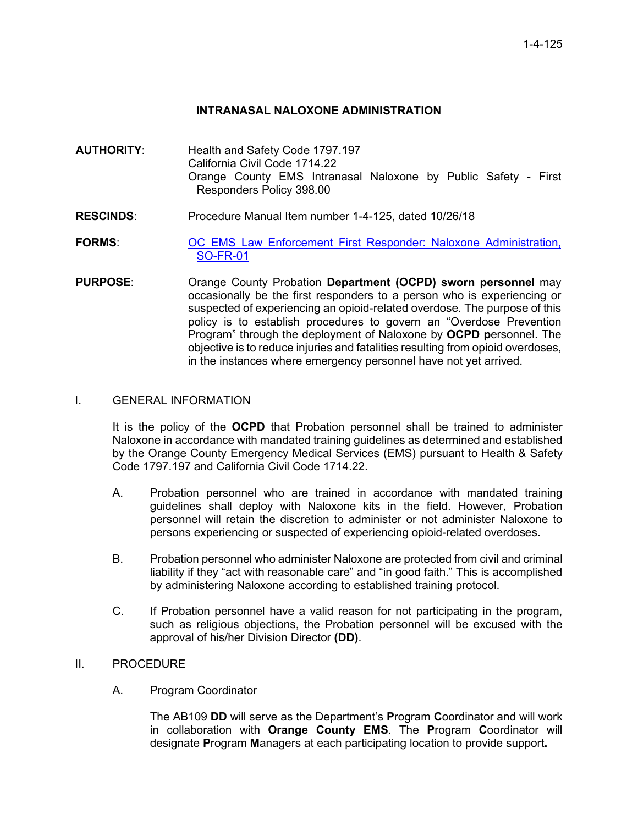## **INTRANASAL NALOXONE ADMINISTRATION**

- **AUTHORITY**: Health and Safety Code 1797.197 California Civil Code 1714.22 Orange County EMS Intranasal Naloxone by Public Safety - First Responders Policy 398.00
- **RESCINDS**: Procedure Manual Item number 1-4-125, dated 10/26/18
- **FORMS:** [OC EMS Law Enforcement First Responder: Naloxone Administration,](https://www.ochealthinfo.com/sites/hca/files/import/data/files/117948.pdf) [SO-FR-01](https://www.ochealthinfo.com/sites/hca/files/import/data/files/117948.pdf)
- **PURPOSE**: Orange County Probation **Department (OCPD) sworn personnel** may occasionally be the first responders to a person who is experiencing or suspected of experiencing an opioid-related overdose. The purpose of this policy is to establish procedures to govern an "Overdose Prevention Program" through the deployment of Naloxone by **OCPD p**ersonnel. The objective is to reduce injuries and fatalities resulting from opioid overdoses, in the instances where emergency personnel have not yet arrived.

### I. GENERAL INFORMATION

It is the policy of the **OCPD** that Probation personnel shall be trained to administer Naloxone in accordance with mandated training guidelines as determined and established by the Orange County Emergency Medical Services (EMS) pursuant to Health & Safety Code 1797.197 and California Civil Code 1714.22.

- A. Probation personnel who are trained in accordance with mandated training guidelines shall deploy with Naloxone kits in the field. However, Probation personnel will retain the discretion to administer or not administer Naloxone to persons experiencing or suspected of experiencing opioid-related overdoses.
- B. Probation personnel who administer Naloxone are protected from civil and criminal liability if they "act with reasonable care" and "in good faith." This is accomplished by administering Naloxone according to established training protocol.
- C. If Probation personnel have a valid reason for not participating in the program, such as religious objections, the Probation personnel will be excused with the approval of his/her Division Director **(DD)**.

## II. PROCEDURE

A. Program Coordinator

The AB109 **DD** will serve as the Department's **P**rogram **C**oordinator and will work in collaboration with **Orange County EMS**. The **P**rogram **C**oordinator will designate **P**rogram **M**anagers at each participating location to provide support**.**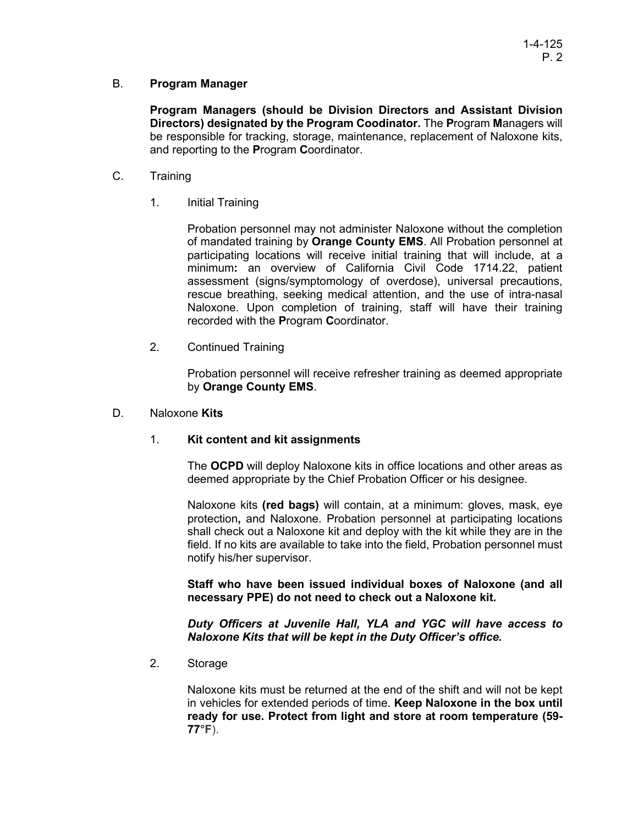## B. **Program Manager**

**Program Managers (should be Division Directors and Assistant Division Directors) designated by the Program Coodinator.** The **P**rogram **M**anagers will be responsible for tracking, storage, maintenance, replacement of Naloxone kits, and reporting to the **P**rogram **C**oordinator.

- C. Training
	- 1. Initial Training

Probation personnel may not administer Naloxone without the completion of mandated training by **Orange County EMS**. All Probation personnel at participating locations will receive initial training that will include, at a minimum**:** an overview of California Civil Code 1714.22, patient assessment (signs/symptomology of overdose), universal precautions, rescue breathing, seeking medical attention, and the use of intra-nasal Naloxone. Upon completion of training, staff will have their training recorded with the **P**rogram **C**oordinator.

2. Continued Training

Probation personnel will receive refresher training as deemed appropriate by **Orange County EMS**.

### D. Naloxone **Kits**

### 1. **Kit content and kit assignments**

The **OCPD** will deploy Naloxone kits in office locations and other areas as deemed appropriate by the Chief Probation Officer or his designee.

Naloxone kits **(red bags)** will contain, at a minimum: gloves, mask, eye protection**,** and Naloxone. Probation personnel at participating locations shall check out a Naloxone kit and deploy with the kit while they are in the field. If no kits are available to take into the field, Probation personnel must notify his/her supervisor.

**Staff who have been issued individual boxes of Naloxone (and all necessary PPE) do not need to check out a Naloxone kit.** 

*Duty Officers at Juvenile Hall, YLA and YGC will have access to Naloxone Kits that will be kept in the Duty Officer's office.*

2. Storage

Naloxone kits must be returned at the end of the shift and will not be kept in vehicles for extended periods of time. **Keep Naloxone in the box until ready for use. Protect from light and store at room temperature (59- 77°F**).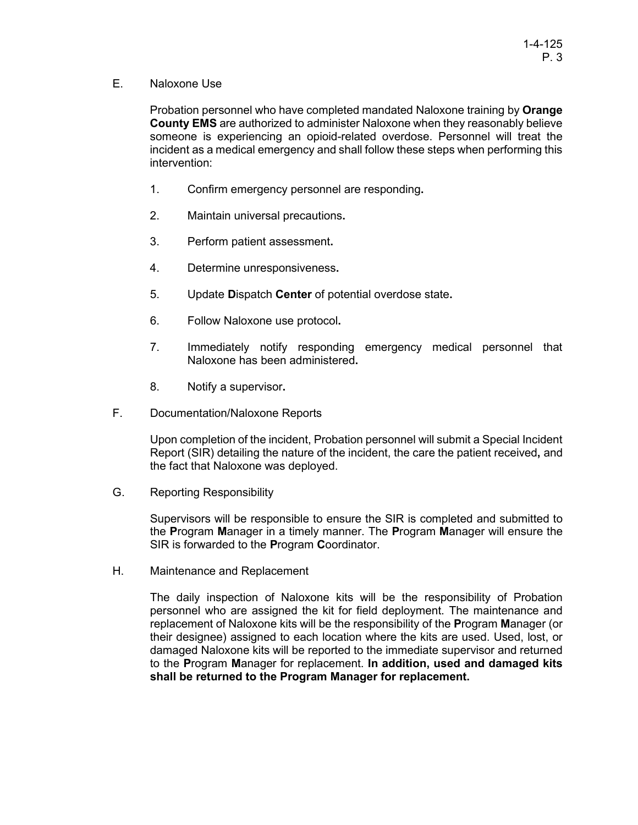E. Naloxone Use

Probation personnel who have completed mandated Naloxone training by **Orange County EMS** are authorized to administer Naloxone when they reasonably believe someone is experiencing an opioid-related overdose. Personnel will treat the incident as a medical emergency and shall follow these steps when performing this intervention:

- 1. Confirm emergency personnel are responding**.**
- 2. Maintain universal precautions**.**
- 3. Perform patient assessment**.**
- 4. Determine unresponsiveness**.**
- 5. Update **D**ispatch **Center** of potential overdose state**.**
- 6. Follow Naloxone use protocol**.**
- 7. Immediately notify responding emergency medical personnel that Naloxone has been administered**.**
- 8. Notify a supervisor**.**
- F. Documentation/Naloxone Reports

Upon completion of the incident, Probation personnel will submit a Special Incident Report (SIR) detailing the nature of the incident, the care the patient received**,** and the fact that Naloxone was deployed.

G. Reporting Responsibility

Supervisors will be responsible to ensure the SIR is completed and submitted to the **P**rogram **M**anager in a timely manner. The **P**rogram **M**anager will ensure the SIR is forwarded to the **P**rogram **C**oordinator.

H. Maintenance and Replacement

The daily inspection of Naloxone kits will be the responsibility of Probation personnel who are assigned the kit for field deployment. The maintenance and replacement of Naloxone kits will be the responsibility of the **P**rogram **M**anager (or their designee) assigned to each location where the kits are used. Used, lost, or damaged Naloxone kits will be reported to the immediate supervisor and returned to the **P**rogram **M**anager for replacement. **In addition, used and damaged kits shall be returned to the Program Manager for replacement.**